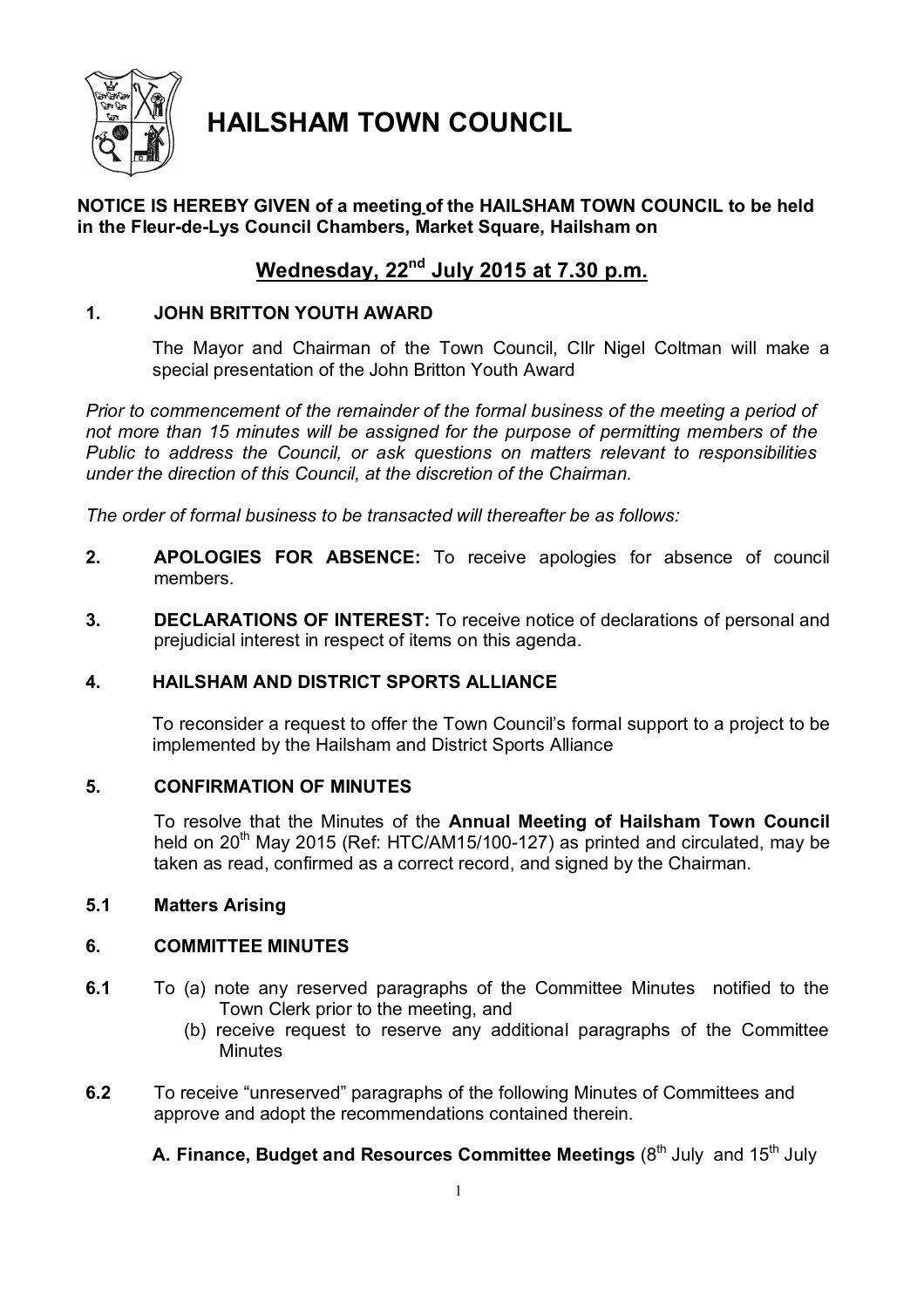

# **HAILSHAM TOWN COUNCIL**

## **NOTICE IS HEREBY GIVEN of a meeting of the HAILSHAM TOWN COUNCIL to be held in the Fleur-de-Lys Council Chambers, Market Square, Hailsham on**

## **Wednesday, 22nd July 2015 at 7.30 p.m.**

## **1. JOHN BRITTON YOUTH AWARD**

The Mayor and Chairman of the Town Council, Cllr Nigel Coltman will make a special presentation of the John Britton Youth Award

*Prior to commencement of the remainder of the formal business of the meeting a period of not more than 15 minutes will be assigned for the purpose of permitting members of the Public to address the Council, or ask questions on matters relevant to responsibilities under the direction of this Council, at the discretion of the Chairman.*

*The order of formal business to be transacted will thereafter be as follows:*

- **2. APOLOGIES FOR ABSENCE:** To receive apologies for absence of council members.
- **3. DECLARATIONS OF INTEREST:** To receive notice of declarations of personal and prejudicial interest in respect of items on this agenda.

## **4. HAILSHAM AND DISTRICT SPORTS ALLIANCE**

To reconsider a request to offer the Town Council's formal support to a project to be implemented by the Hailsham and District Sports Alliance

## **5. CONFIRMATION OF MINUTES**

To resolve that the Minutes of the **Annual Meeting of Hailsham Town Council** held on  $20<sup>th</sup>$  May 2015 (Ref: HTC/AM15/100-127) as printed and circulated, may be taken as read, confirmed as a correct record, and signed by the Chairman.

## **5.1 Matters Arising**

## **6. COMMITTEE MINUTES**

- **6.1** To (a) note any reserved paragraphs of the Committee Minutes notified to the Town Clerk prior to the meeting, and
	- (b) receive request to reserve any additional paragraphs of the Committee **Minutes**
- **6.2** To receive "unreserved" paragraphs of the following Minutes of Committees and approve and adopt the recommendations contained therein.

**A. Finance, Budget and Resources Committee Meetings (8<sup>th</sup> July and 15<sup>th</sup> July**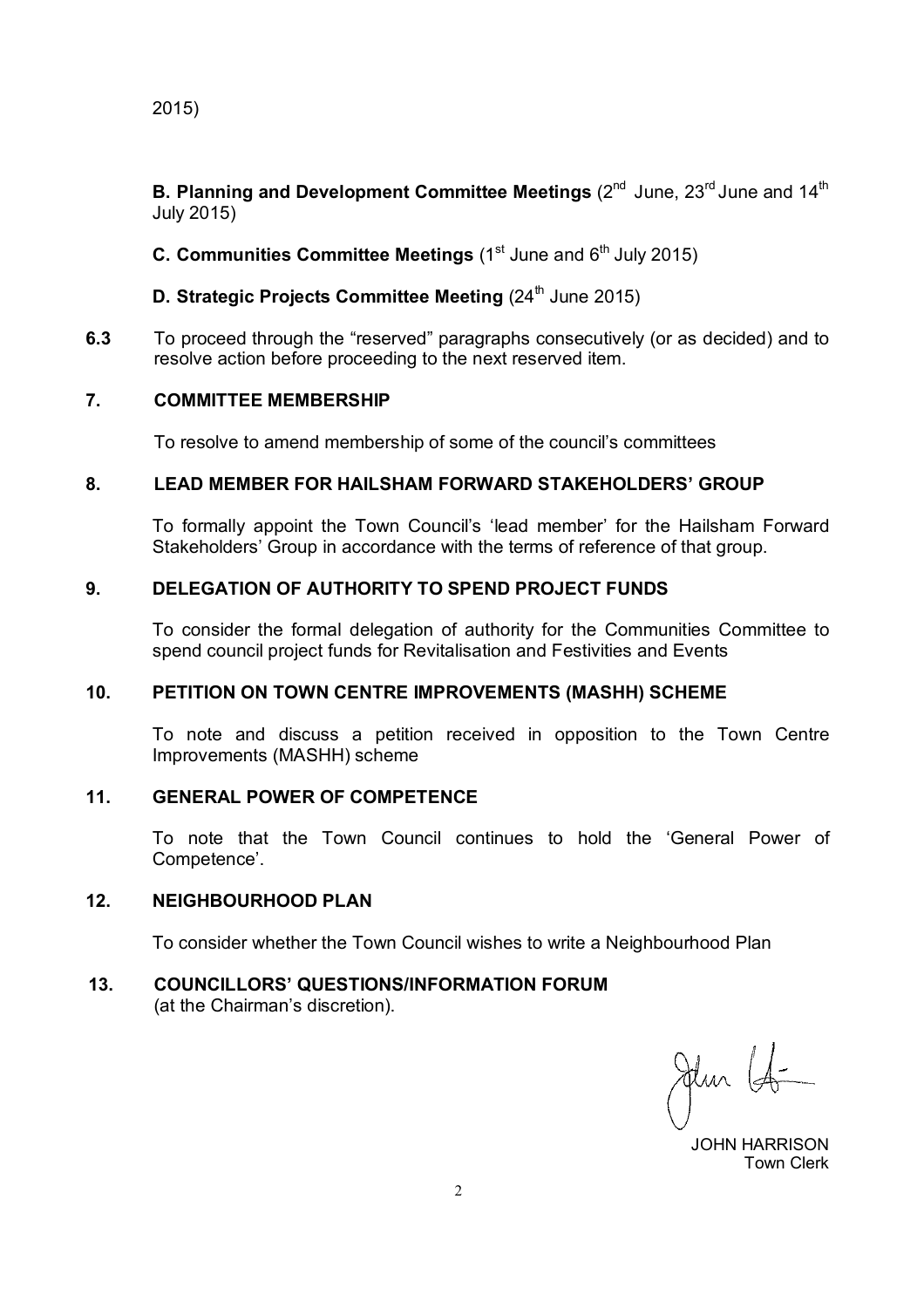2015)

**B. Planning and Development Committee Meetings (2<sup>nd</sup> June, 23<sup>rd</sup> June and 14<sup>th</sup>)** July 2015)

**C. Communities Committee Meetings (1st June and 6<sup>th</sup> July 2015)** 

**D. Strategic Projects Committee Meeting (24<sup>th</sup> June 2015)** 

**6.3** To proceed through the "reserved" paragraphs consecutively (or as decided) and to resolve action before proceeding to the next reserved item.

## **7. COMMITTEE MEMBERSHIP**

To resolve to amend membership of some of the council's committees

## **8. LEAD MEMBER FOR HAILSHAM FORWARD STAKEHOLDERS' GROUP**

To formally appoint the Town Council's 'lead member' for the Hailsham Forward Stakeholders' Group in accordance with the terms of reference of that group.

## **9. DELEGATION OF AUTHORITY TO SPEND PROJECT FUNDS**

To consider the formal delegation of authority for the Communities Committee to spend council project funds for Revitalisation and Festivities and Events

#### **10. PETITION ON TOWN CENTRE IMPROVEMENTS (MASHH) SCHEME**

To note and discuss a petition received in opposition to the Town Centre Improvements (MASHH) scheme

## **11. GENERAL POWER OF COMPETENCE**

To note that the Town Council continues to hold the 'General Power of Competence'.

#### **12. NEIGHBOURHOOD PLAN**

To consider whether the Town Council wishes to write a Neighbourhood Plan

## **13. COUNCILLORS' QUESTIONS/INFORMATION FORUM**

(at the Chairman's discretion).

Jun 14

 JOHN HARRISON Town Clerk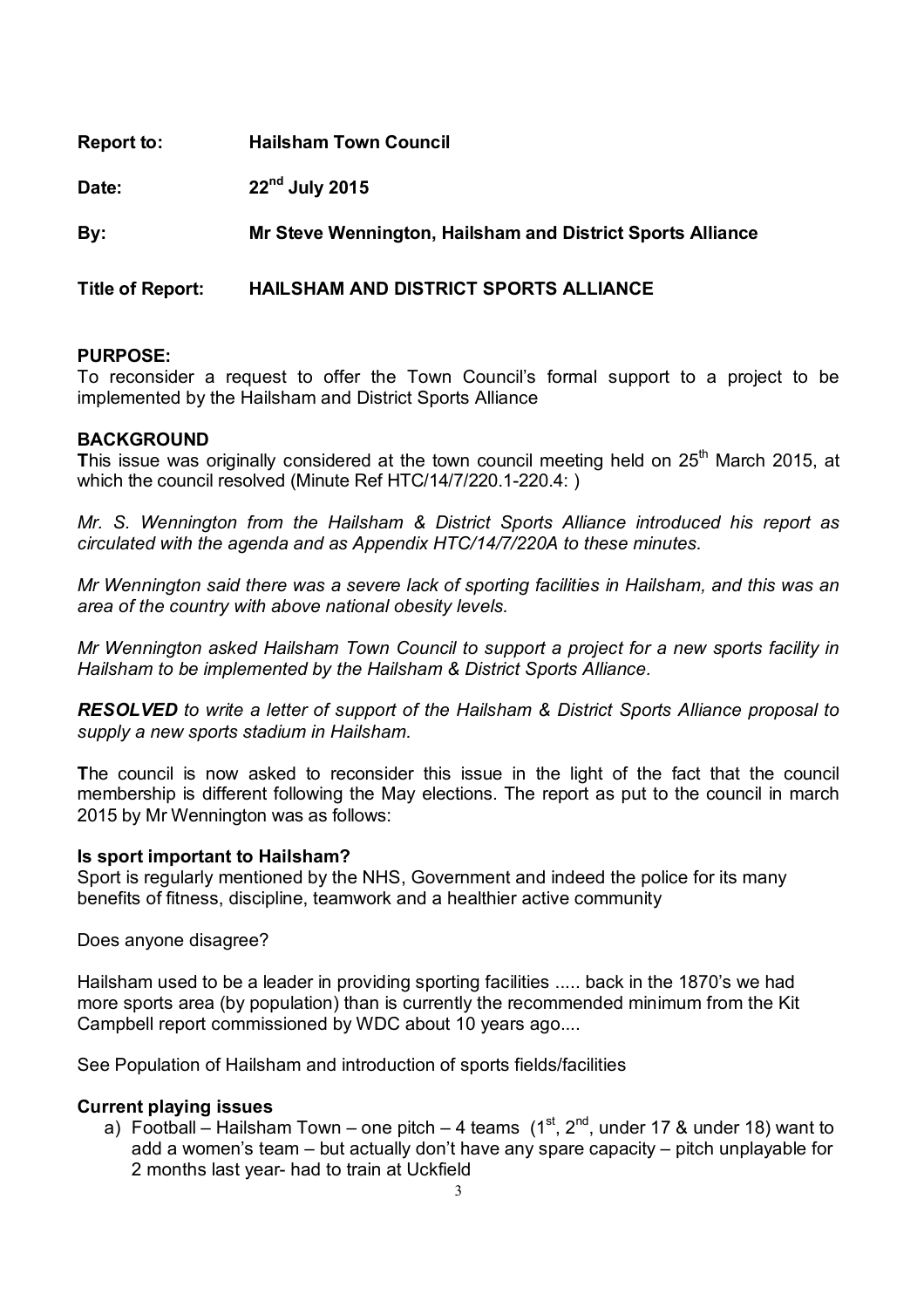| <b>Report to:</b>       | <b>Hailsham Town Council</b>                               |
|-------------------------|------------------------------------------------------------|
| Date:                   | $22nd$ July 2015                                           |
| By:                     | Mr Steve Wennington, Hailsham and District Sports Alliance |
| <b>Title of Report:</b> | HAILSHAM AND DISTRICT SPORTS ALLIANCE                      |

To reconsider a request to offer the Town Council's formal support to a project to be implemented by the Hailsham and District Sports Alliance

#### **BACKGROUND**

This issue was originally considered at the town council meeting held on 25<sup>th</sup> March 2015, at which the council resolved (Minute Ref HTC/14/7/220.1-220.4: )

*Mr. S. Wennington from the Hailsham & District Sports Alliance introduced his report as circulated with the agenda and as Appendix HTC/14/7/220A to these minutes.*

*Mr Wennington said there was a severe lack of sporting facilities in Hailsham, and this was an area of the country with above national obesity levels.*

*Mr Wennington asked Hailsham Town Council to support a project for a new sports facility in Hailsham to be implemented by the Hailsham & District Sports Alliance.*

*RESOLVED to write a letter of support of the Hailsham & District Sports Alliance proposal to supply a new sports stadium in Hailsham.*

**T**he council is now asked to reconsider this issue in the light of the fact that the council membership is different following the May elections. The report as put to the council in march 2015 by Mr Wennington was as follows:

#### **Is sport important to Hailsham?**

Sport is regularly mentioned by the NHS, Government and indeed the police for its many benefits of fitness, discipline, teamwork and a healthier active community

Does anyone disagree?

Hailsham used to be a leader in providing sporting facilities ..... back in the 1870's we had more sports area (by population) than is currently the recommended minimum from the Kit Campbell report commissioned by WDC about 10 years ago....

See Population of Hailsham and introduction of sports fields/facilities

#### **Current playing issues**

a) Football – Hailsham Town – one pitch – 4 teams  $(1<sup>st</sup>, 2<sup>nd</sup>,$  under 17 & under 18) want to add a women's team – but actually don't have any spare capacity – pitch unplayable for 2 months last year- had to train at Uckfield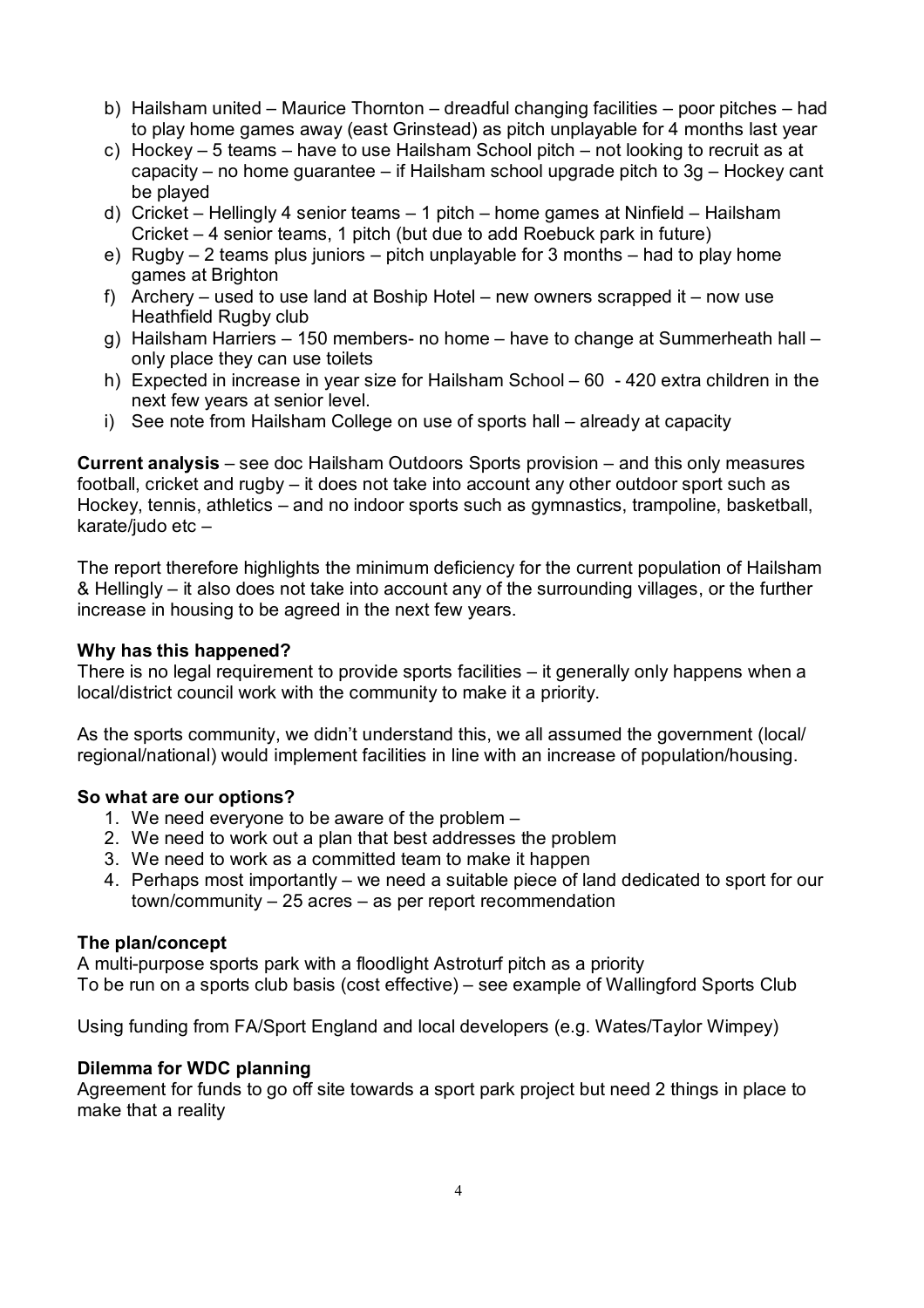- b) Hailsham united Maurice Thornton dreadful changing facilities poor pitches had to play home games away (east Grinstead) as pitch unplayable for 4 months last year
- c) Hockey 5 teams have to use Hailsham School pitch not looking to recruit as at capacity – no home guarantee – if Hailsham school upgrade pitch to 3g – Hockey cant be played
- d) Cricket Hellingly 4 senior teams 1 pitch home games at Ninfield Hailsham Cricket – 4 senior teams, 1 pitch (but due to add Roebuck park in future)
- e) Rugby 2 teams plus juniors pitch unplayable for 3 months had to play home games at Brighton
- f) Archery used to use land at Boship Hotel new owners scrapped it now use Heathfield Rugby club
- g) Hailsham Harriers 150 members- no home have to change at Summerheath hall only place they can use toilets
- h) Expected in increase in year size for Hailsham School 60 420 extra children in the next few years at senior level.
- i) See note from Hailsham College on use of sports hall already at capacity

**Current analysis** – see doc Hailsham Outdoors Sports provision – and this only measures football, cricket and rugby – it does not take into account any other outdoor sport such as Hockey, tennis, athletics – and no indoor sports such as gymnastics, trampoline, basketball, karate/judo etc –

The report therefore highlights the minimum deficiency for the current population of Hailsham & Hellingly – it also does not take into account any of the surrounding villages, or the further increase in housing to be agreed in the next few years.

#### **Why has this happened?**

There is no legal requirement to provide sports facilities – it generally only happens when a local/district council work with the community to make it a priority.

As the sports community, we didn't understand this, we all assumed the government (local/ regional/national) would implement facilities in line with an increase of population/housing.

#### **So what are our options?**

- 1. We need everyone to be aware of the problem –
- 2. We need to work out a plan that best addresses the problem
- 3. We need to work as a committed team to make it happen
- 4. Perhaps most importantly we need a suitable piece of land dedicated to sport for our town/community – 25 acres – as per report recommendation

## **The plan/concept**

A multi-purpose sports park with a floodlight Astroturf pitch as a priority To be run on a sports club basis (cost effective) – see example of Wallingford Sports Club

Using funding from FA/Sport England and local developers (e.g. Wates/Taylor Wimpey)

## **Dilemma for WDC planning**

Agreement for funds to go off site towards a sport park project but need 2 things in place to make that a reality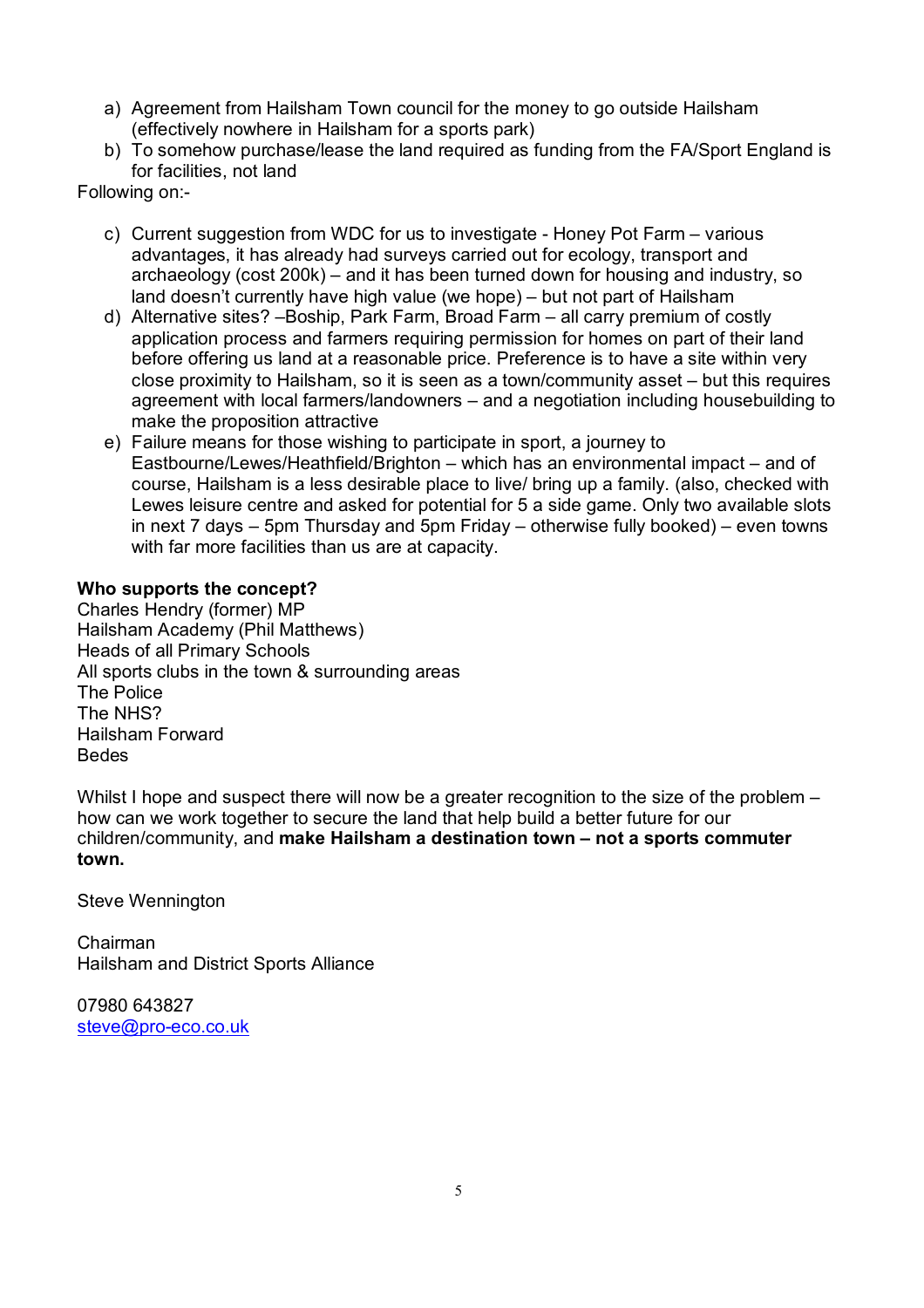- a) Agreement from Hailsham Town council for the money to go outside Hailsham (effectively nowhere in Hailsham for a sports park)
- b) To somehow purchase/lease the land required as funding from the FA/Sport England is for facilities, not land

Following on:-

- c) Current suggestion from WDC for us to investigate Honey Pot Farm various advantages, it has already had surveys carried out for ecology, transport and archaeology (cost 200k) – and it has been turned down for housing and industry, so land doesn't currently have high value (we hope) – but not part of Hailsham
- d) Alternative sites? –Boship, Park Farm, Broad Farm all carry premium of costly application process and farmers requiring permission for homes on part of their land before offering us land at a reasonable price. Preference is to have a site within very close proximity to Hailsham, so it is seen as a town/community asset – but this requires agreement with local farmers/landowners – and a negotiation including housebuilding to make the proposition attractive
- e) Failure means for those wishing to participate in sport, a journey to Eastbourne/Lewes/Heathfield/Brighton – which has an environmental impact – and of course, Hailsham is a less desirable place to live/ bring up a family. (also, checked with Lewes leisure centre and asked for potential for 5 a side game. Only two available slots in next 7 days – 5pm Thursday and 5pm Friday – otherwise fully booked) – even towns with far more facilities than us are at capacity.

## **Who supports the concept?**

Charles Hendry (former) MP Hailsham Academy (Phil Matthews) Heads of all Primary Schools All sports clubs in the town & surrounding areas The Police The NHS? Hailsham Forward Bedes

Whilst I hope and suspect there will now be a greater recognition to the size of the problem – how can we work together to secure the land that help build a better future for our children/community, and **make Hailsham a destination town – not a sports commuter town.**

Steve Wennington

Chairman Hailsham and District Sports Alliance

07980 643827 steve@pro-eco.co.uk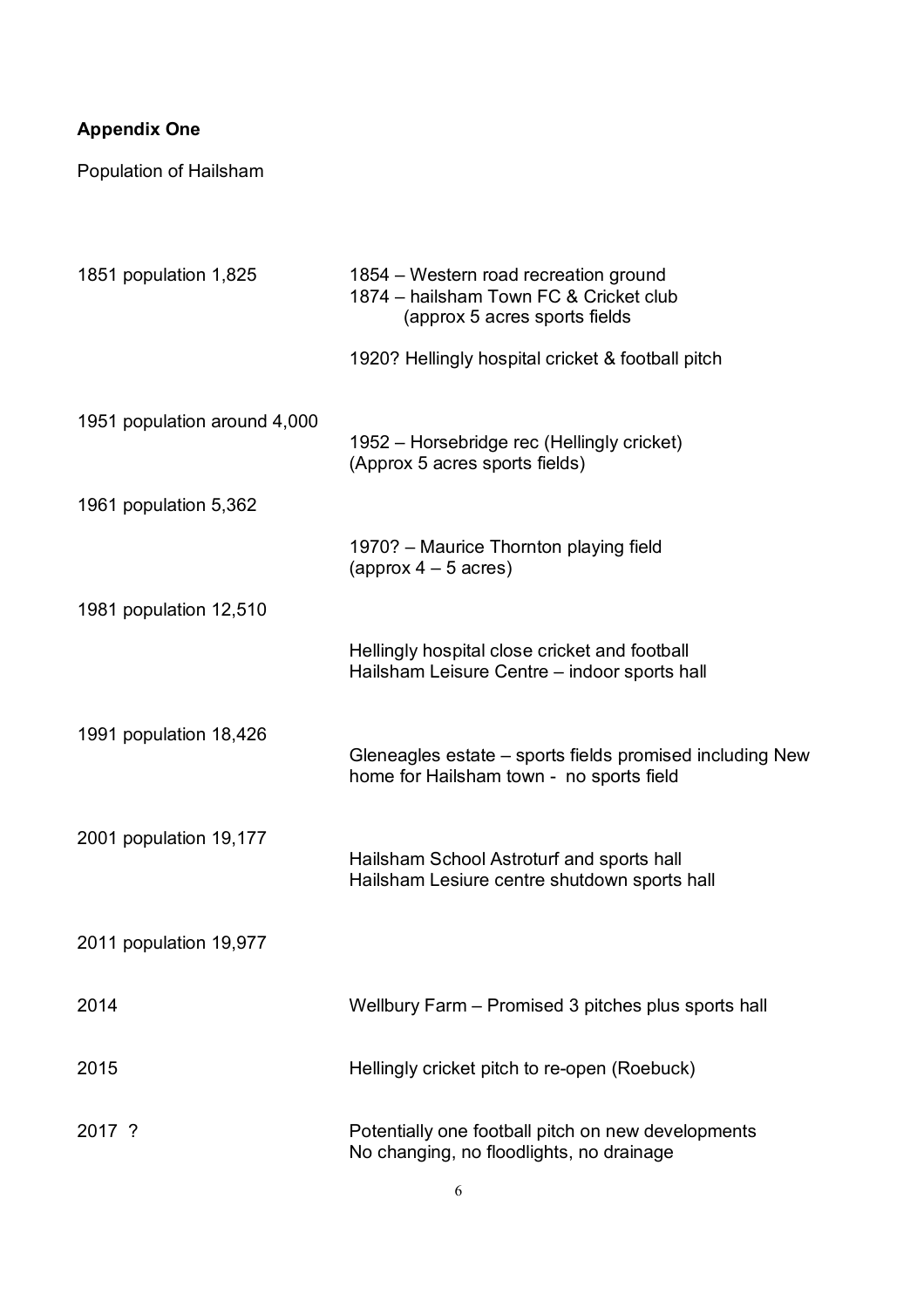## **Appendix One**

Population of Hailsham

| 1851 population 1,825        | 1854 – Western road recreation ground<br>1874 - hailsham Town FC & Cricket club<br>(approx 5 acres sports fields |
|------------------------------|------------------------------------------------------------------------------------------------------------------|
|                              | 1920? Hellingly hospital cricket & football pitch                                                                |
| 1951 population around 4,000 | 1952 – Horsebridge rec (Hellingly cricket)<br>(Approx 5 acres sports fields)                                     |
| 1961 population 5,362        |                                                                                                                  |
|                              | 1970? - Maurice Thornton playing field<br>(approx $4-5$ acres)                                                   |
| 1981 population 12,510       |                                                                                                                  |
|                              | Hellingly hospital close cricket and football<br>Hailsham Leisure Centre – indoor sports hall                    |
| 1991 population 18,426       | Gleneagles estate – sports fields promised including New<br>home for Hailsham town - no sports field             |
| 2001 population 19,177       | Hailsham School Astroturf and sports hall<br>Hailsham Lesiure centre shutdown sports hall                        |
| 2011 population 19,977       |                                                                                                                  |
| 2014                         | Wellbury Farm – Promised 3 pitches plus sports hall                                                              |
| 2015                         | Hellingly cricket pitch to re-open (Roebuck)                                                                     |
| 2017 ?                       | Potentially one football pitch on new developments<br>No changing, no floodlights, no drainage                   |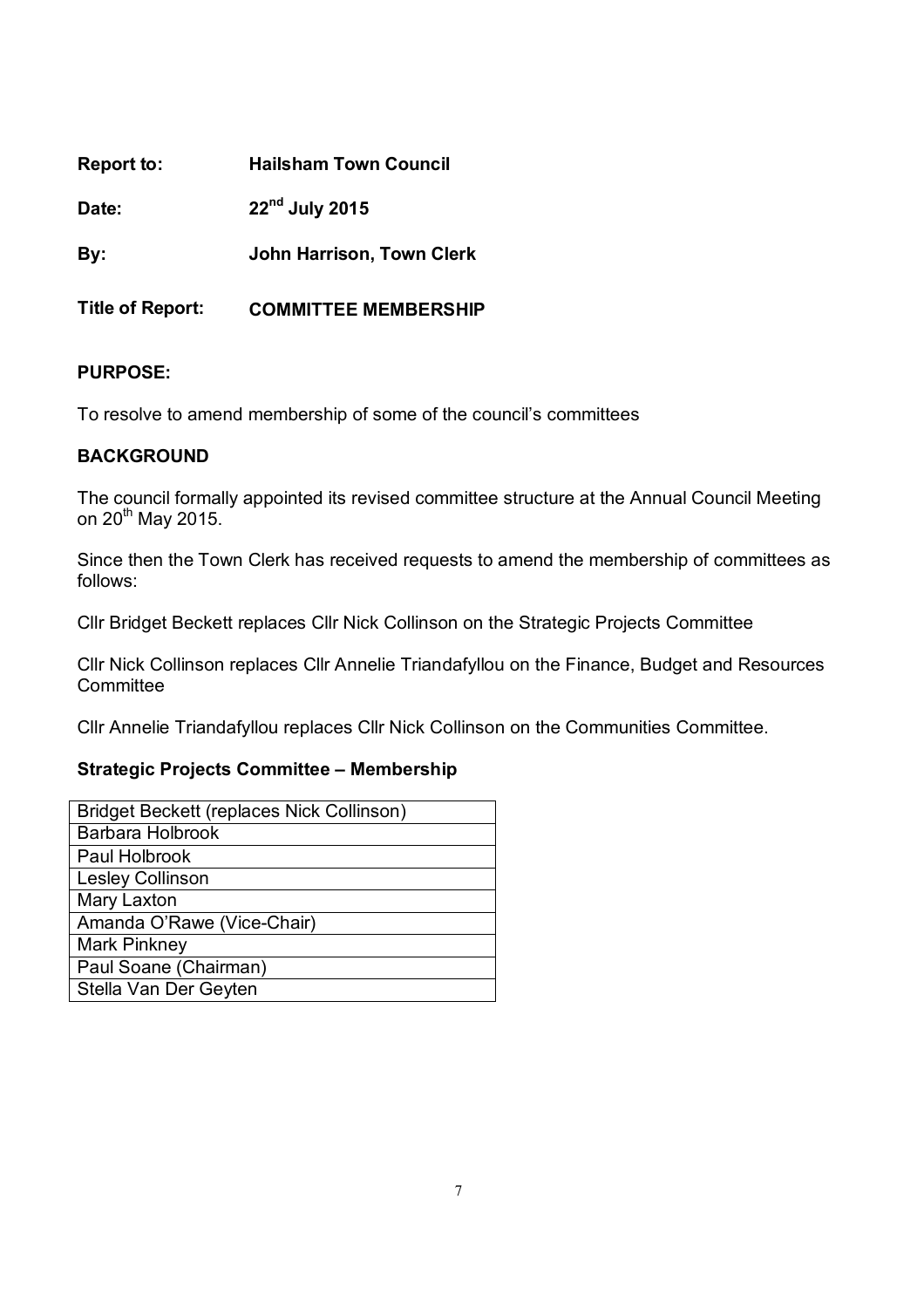| Report to:              | <b>Hailsham Town Council</b>     |
|-------------------------|----------------------------------|
| Date:                   | $22nd$ July 2015                 |
| By:                     | <b>John Harrison, Town Clerk</b> |
| <b>Title of Report:</b> | <b>COMMITTEE MEMBERSHIP</b>      |

To resolve to amend membership of some of the council's committees

## **BACKGROUND**

The council formally appointed its revised committee structure at the Annual Council Meeting on 20<sup>th</sup> May 2015.

Since then the Town Clerk has received requests to amend the membership of committees as follows:

Cllr Bridget Beckett replaces Cllr Nick Collinson on the Strategic Projects Committee

Cllr Nick Collinson replaces Cllr Annelie Triandafyllou on the Finance, Budget and Resources **Committee** 

Cllr Annelie Triandafyllou replaces Cllr Nick Collinson on the Communities Committee.

## **Strategic Projects Committee – Membership**

| Bridget Beckett (replaces Nick Collinson) |
|-------------------------------------------|
| Barbara Holbrook                          |
| Paul Holbrook                             |
| Lesley Collinson                          |
| Mary Laxton                               |
| Amanda O'Rawe (Vice-Chair)                |
| <b>Mark Pinkney</b>                       |
| Paul Soane (Chairman)                     |
| Stella Van Der Geyten                     |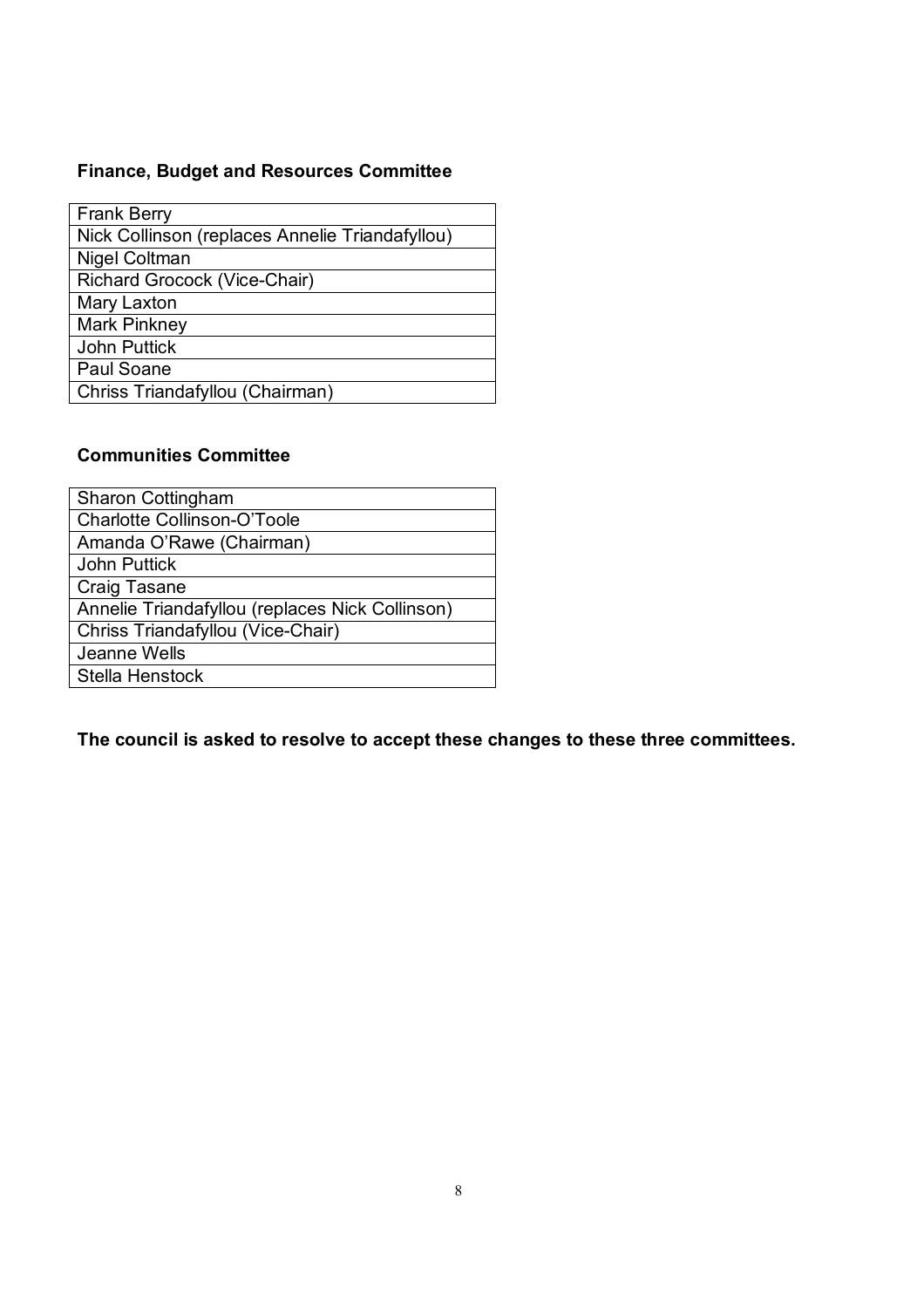## **Finance, Budget and Resources Committee**

| <b>Frank Berry</b>                              |
|-------------------------------------------------|
| Nick Collinson (replaces Annelie Triandafyllou) |
| Nigel Coltman                                   |
| Richard Grocock (Vice-Chair)                    |
| Mary Laxton                                     |
| <b>Mark Pinkney</b>                             |
| <b>John Puttick</b>                             |
| Paul Soane                                      |
| Chriss Triandafyllou (Chairman)                 |
|                                                 |

## **Communities Committee**

**The council is asked to resolve to accept these changes to these three committees.**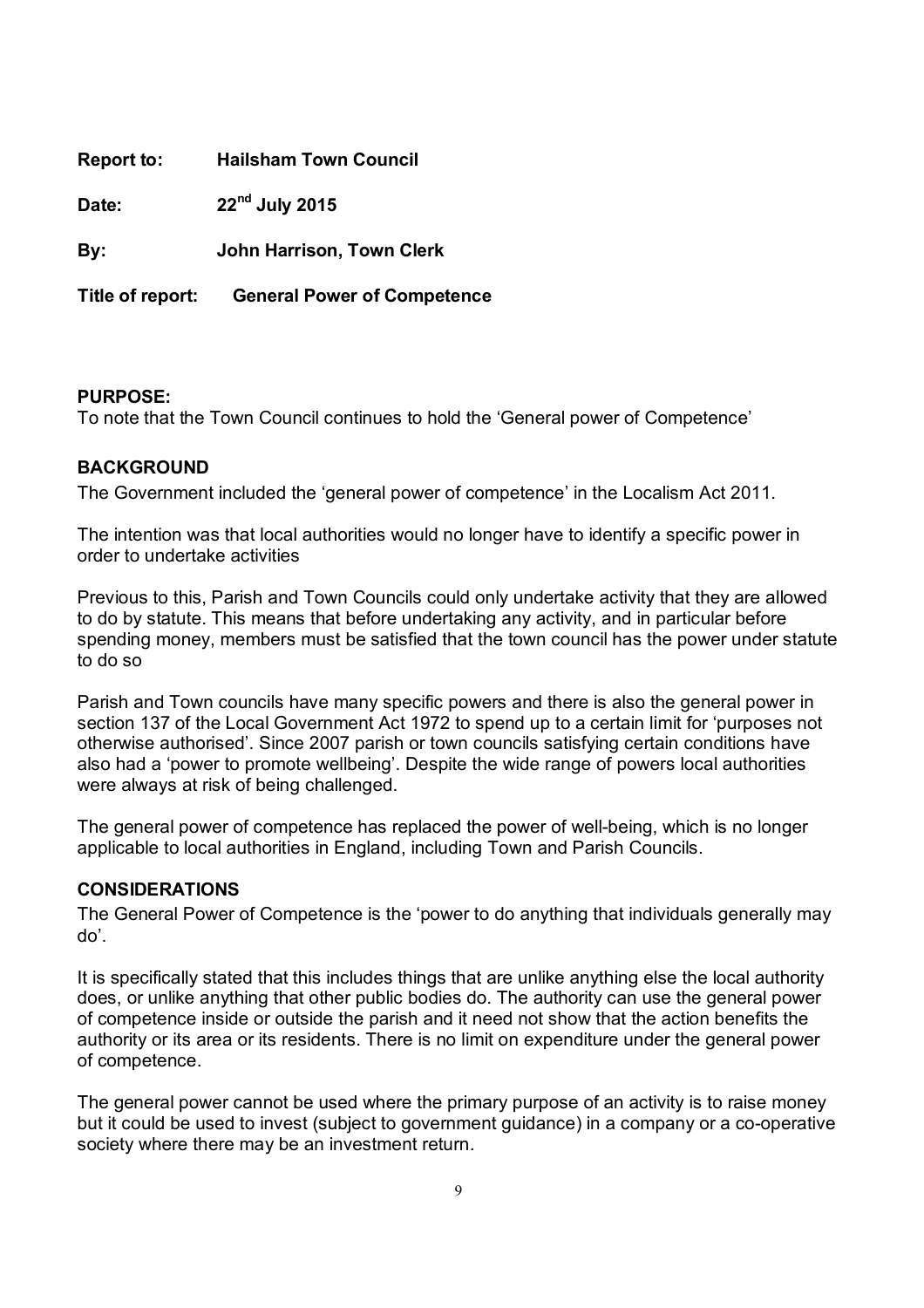| Report to:       | <b>Hailsham Town Council</b>       |
|------------------|------------------------------------|
| Date:            | 22 <sup>nd</sup> July 2015         |
| By:              | John Harrison, Town Clerk          |
| Title of report: | <b>General Power of Competence</b> |

To note that the Town Council continues to hold the 'General power of Competence'

## **BACKGROUND**

The Government included the 'general power of competence' in the Localism Act 2011.

The intention was that local authorities would no longer have to identify a specific power in order to undertake activities

Previous to this, Parish and Town Councils could only undertake activity that they are allowed to do by statute. This means that before undertaking any activity, and in particular before spending money, members must be satisfied that the town council has the power under statute to do so

Parish and Town councils have many specific powers and there is also the general power in section 137 of the Local Government Act 1972 to spend up to a certain limit for 'purposes not otherwise authorised'. Since 2007 parish or town councils satisfying certain conditions have also had a 'power to promote wellbeing'. Despite the wide range of powers local authorities were always at risk of being challenged.

The general power of competence has replaced the power of well-being, which is no longer applicable to local authorities in England, including Town and Parish Councils.

#### **CONSIDERATIONS**

The General Power of Competence is the 'power to do anything that individuals generally may do'.

It is specifically stated that this includes things that are unlike anything else the local authority does, or unlike anything that other public bodies do. The authority can use the general power of competence inside or outside the parish and it need not show that the action benefits the authority or its area or its residents. There is no limit on expenditure under the general power of competence.

The general power cannot be used where the primary purpose of an activity is to raise money but it could be used to invest (subject to government guidance) in a company or a co-operative society where there may be an investment return.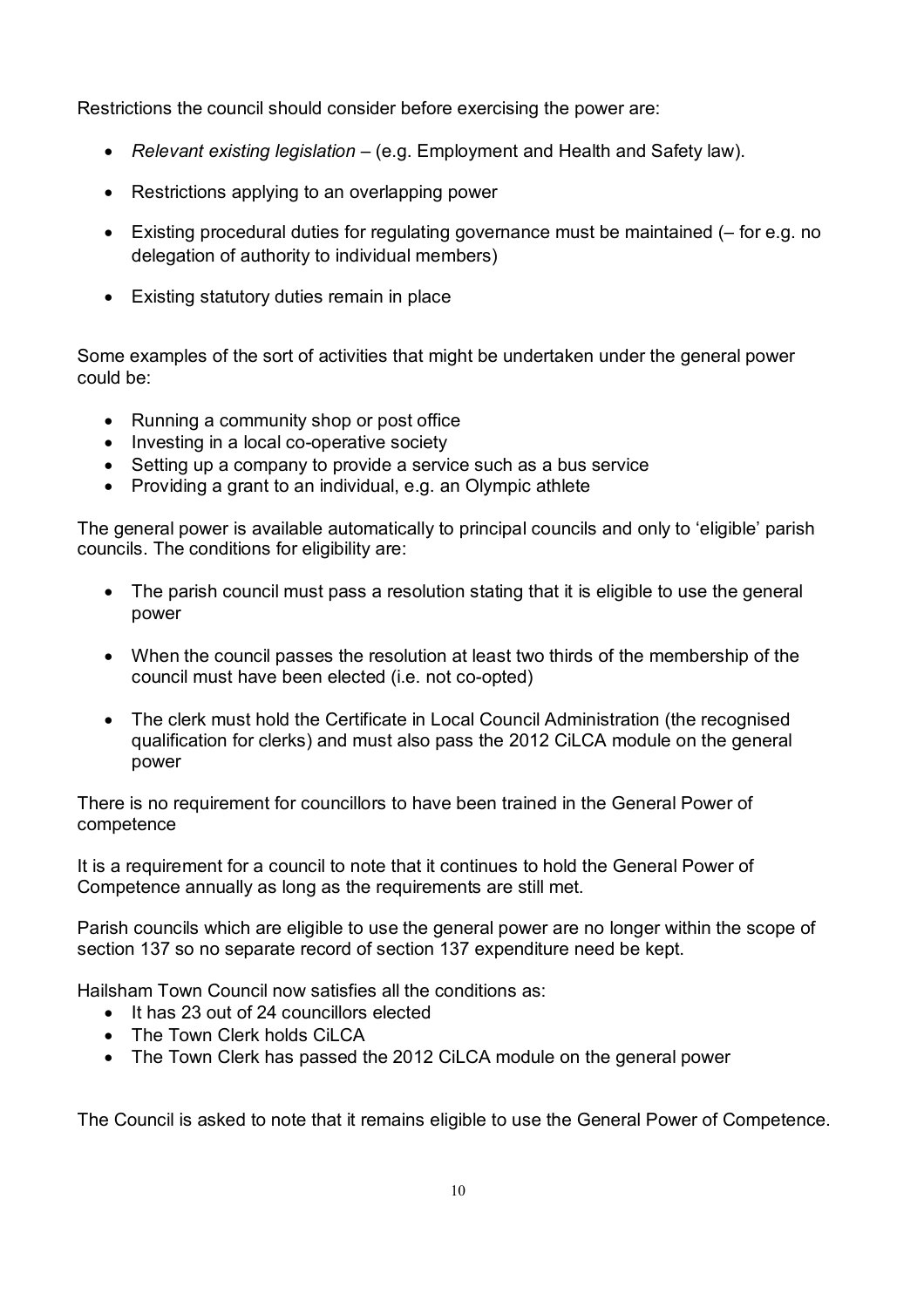Restrictions the council should consider before exercising the power are:

- *Relevant existing legislation –* (e.g. Employment and Health and Safety law).
- Restrictions applying to an overlapping power
- Existing procedural duties for regulating governance must be maintained (– for e.g. no delegation of authority to individual members)
- Existing statutory duties remain in place

Some examples of the sort of activities that might be undertaken under the general power could be:

- Running a community shop or post office
- Investing in a local co-operative society
- Setting up a company to provide a service such as a bus service
- Providing a grant to an individual, e.g. an Olympic athlete

The general power is available automatically to principal councils and only to 'eligible' parish councils. The conditions for eligibility are:

- The parish council must pass a resolution stating that it is eligible to use the general power
- When the council passes the resolution at least two thirds of the membership of the council must have been elected (i.e. not co-opted)
- The clerk must hold the Certificate in Local Council Administration (the recognised qualification for clerks) and must also pass the 2012 CiLCA module on the general power

There is no requirement for councillors to have been trained in the General Power of competence

It is a requirement for a council to note that it continues to hold the General Power of Competence annually as long as the requirements are still met.

Parish councils which are eligible to use the general power are no longer within the scope of section 137 so no separate record of section 137 expenditure need be kept.

Hailsham Town Council now satisfies all the conditions as:

- It has 23 out of 24 councillors elected
- The Town Clerk holds CiLCA
- The Town Clerk has passed the 2012 CiLCA module on the general power

The Council is asked to note that it remains eligible to use the General Power of Competence.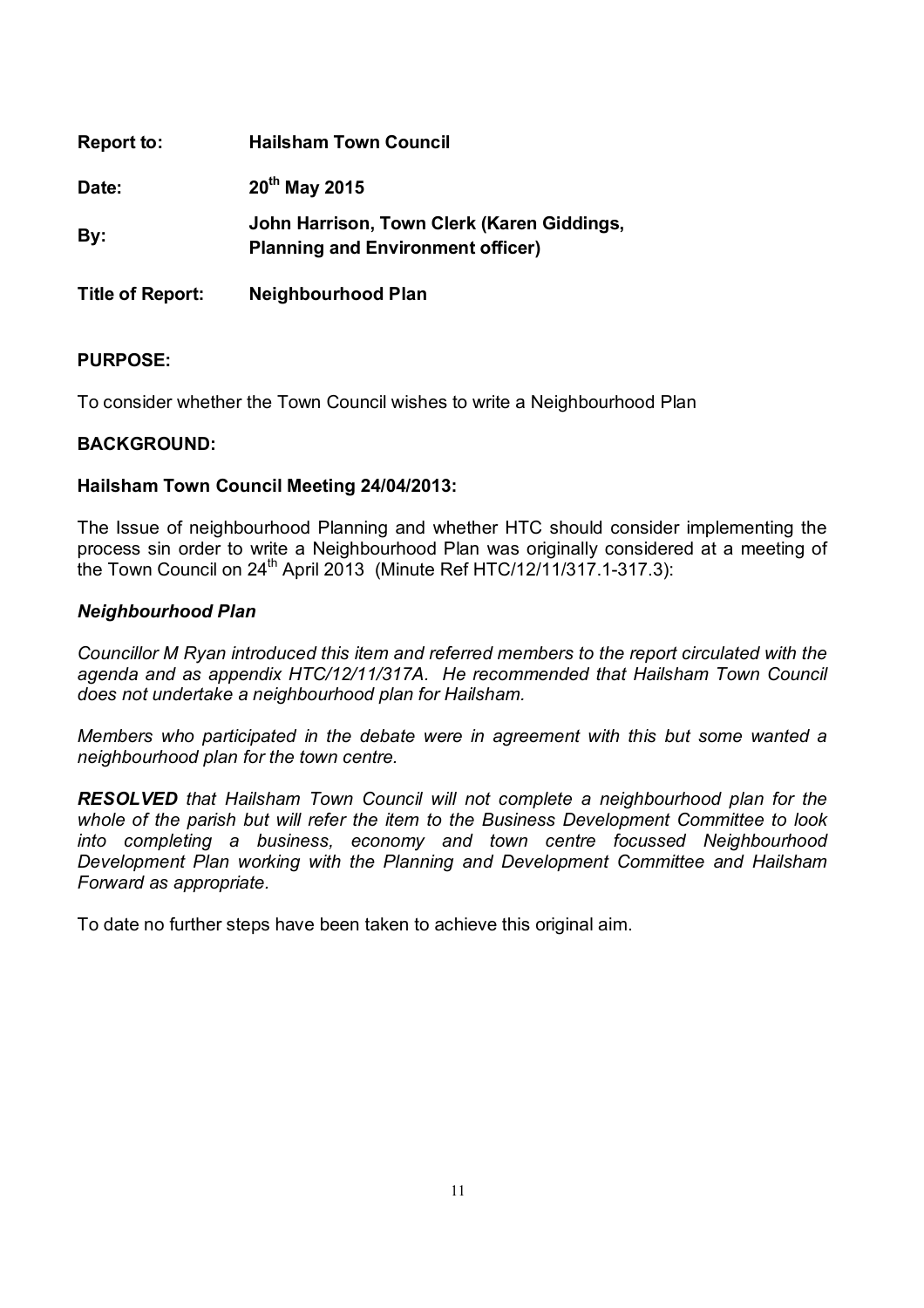| Report to:              | <b>Hailsham Town Council</b>                                                           |
|-------------------------|----------------------------------------------------------------------------------------|
| Date:                   | $20^{th}$ May 2015                                                                     |
| By:                     | John Harrison, Town Clerk (Karen Giddings,<br><b>Planning and Environment officer)</b> |
| <b>Title of Report:</b> | <b>Neighbourhood Plan</b>                                                              |

To consider whether the Town Council wishes to write a Neighbourhood Plan

## **BACKGROUND:**

#### **Hailsham Town Council Meeting 24/04/2013:**

The Issue of neighbourhood Planning and whether HTC should consider implementing the process sin order to write a Neighbourhood Plan was originally considered at a meeting of the Town Council on  $24^{th}$  April 2013 (Minute Ref HTC/12/11/317.1-317.3):

#### *Neighbourhood Plan*

*Councillor M Ryan introduced this item and referred members to the report circulated with the agenda and as appendix HTC/12/11/317A. He recommended that Hailsham Town Council does not undertake a neighbourhood plan for Hailsham.*

*Members who participated in the debate were in agreement with this but some wanted a neighbourhood plan for the town centre.*

*RESOLVED that Hailsham Town Council will not complete a neighbourhood plan for the whole of the parish but will refer the item to the Business Development Committee to look into completing a business, economy and town centre focussed Neighbourhood Development Plan working with the Planning and Development Committee and Hailsham Forward as appropriate.*

To date no further steps have been taken to achieve this original aim.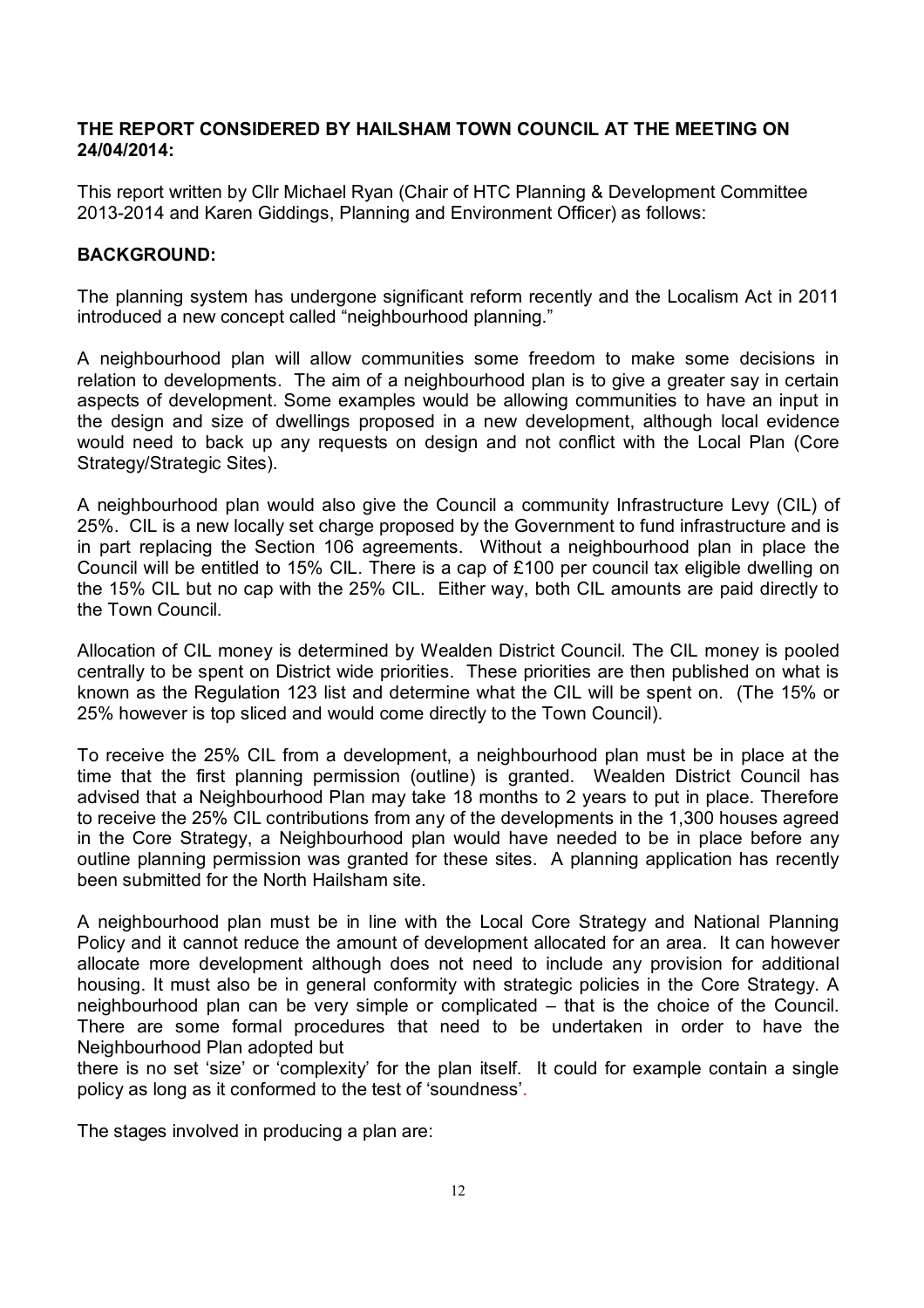## **THE REPORT CONSIDERED BY HAILSHAM TOWN COUNCIL AT THE MEETING ON 24/04/2014:**

This report written by Cllr Michael Ryan (Chair of HTC Planning & Development Committee 2013-2014 and Karen Giddings, Planning and Environment Officer) as follows:

## **BACKGROUND:**

The planning system has undergone significant reform recently and the Localism Act in 2011 introduced a new concept called "neighbourhood planning."

A neighbourhood plan will allow communities some freedom to make some decisions in relation to developments. The aim of a neighbourhood plan is to give a greater say in certain aspects of development. Some examples would be allowing communities to have an input in the design and size of dwellings proposed in a new development, although local evidence would need to back up any requests on design and not conflict with the Local Plan (Core Strategy/Strategic Sites).

A neighbourhood plan would also give the Council a community Infrastructure Levy (CIL) of 25%. CIL is a new locally set charge proposed by the Government to fund infrastructure and is in part replacing the Section 106 agreements. Without a neighbourhood plan in place the Council will be entitled to 15% CIL. There is a cap of £100 per council tax eligible dwelling on the 15% CIL but no cap with the 25% CIL. Either way, both CIL amounts are paid directly to the Town Council.

Allocation of CIL money is determined by Wealden District Council. The CIL money is pooled centrally to be spent on District wide priorities. These priorities are then published on what is known as the Regulation 123 list and determine what the CIL will be spent on. (The 15% or 25% however is top sliced and would come directly to the Town Council).

To receive the 25% CIL from a development, a neighbourhood plan must be in place at the time that the first planning permission (outline) is granted. Wealden District Council has advised that a Neighbourhood Plan may take 18 months to 2 years to put in place. Therefore to receive the 25% CIL contributions from any of the developments in the 1,300 houses agreed in the Core Strategy, a Neighbourhood plan would have needed to be in place before any outline planning permission was granted for these sites. A planning application has recently been submitted for the North Hailsham site.

A neighbourhood plan must be in line with the Local Core Strategy and National Planning Policy and it cannot reduce the amount of development allocated for an area. It can however allocate more development although does not need to include any provision for additional housing. It must also be in general conformity with strategic policies in the Core Strategy. A neighbourhood plan can be very simple or complicated – that is the choice of the Council. There are some formal procedures that need to be undertaken in order to have the Neighbourhood Plan adopted but

there is no set 'size' or 'complexity' for the plan itself. It could for example contain a single policy as long as it conformed to the test of 'soundness'.

The stages involved in producing a plan are: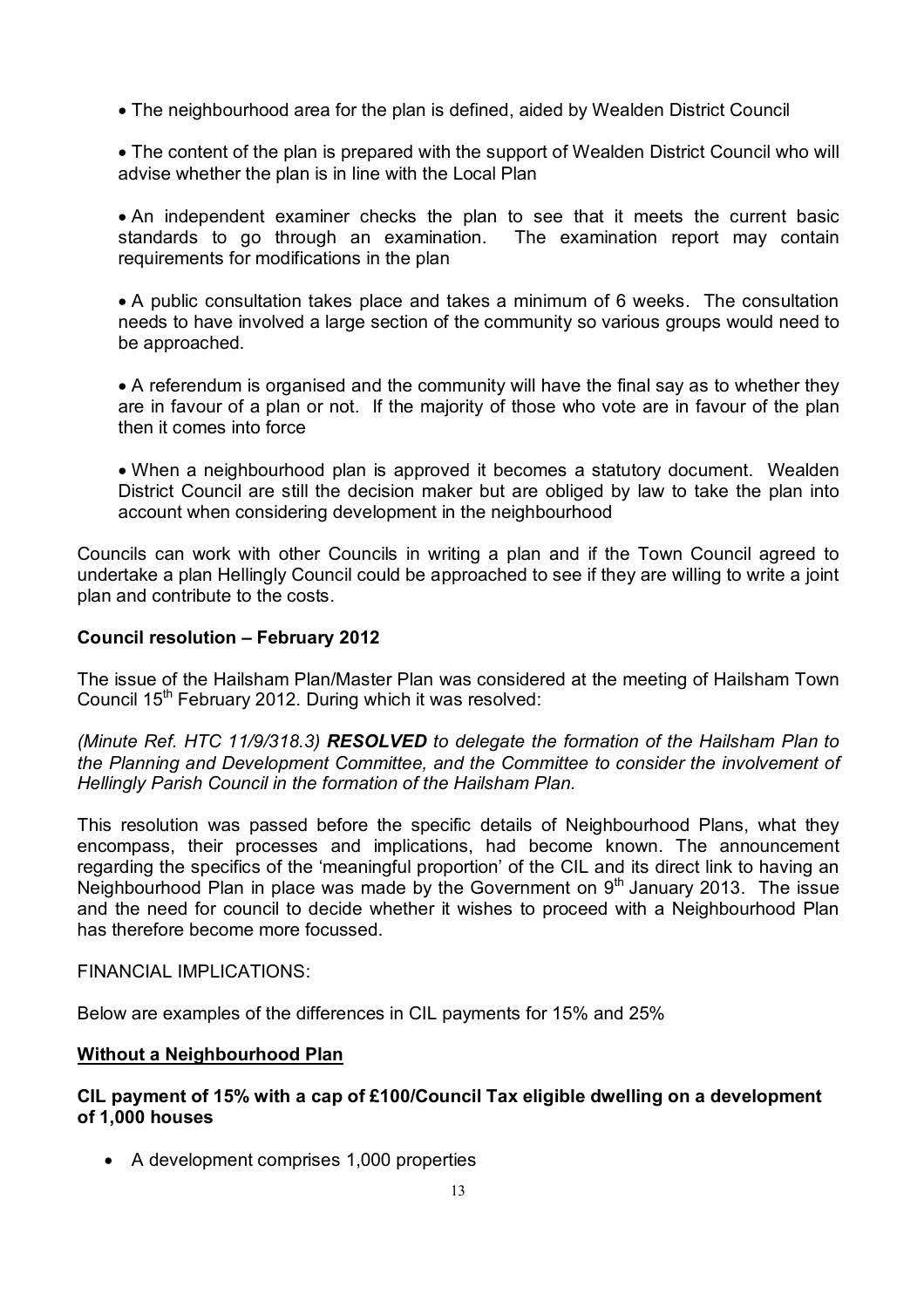The neighbourhood area for the plan is defined, aided by Wealden District Council

• The content of the plan is prepared with the support of Wealden District Council who will advise whether the plan is in line with the Local Plan

 An independent examiner checks the plan to see that it meets the current basic standards to go through an examination. The examination report may contain requirements for modifications in the plan

 A public consultation takes place and takes a minimum of 6 weeks. The consultation needs to have involved a large section of the community so various groups would need to be approached.

 A referendum is organised and the community will have the final say as to whether they are in favour of a plan or not. If the majority of those who vote are in favour of the plan then it comes into force

 When a neighbourhood plan is approved it becomes a statutory document. Wealden District Council are still the decision maker but are obliged by law to take the plan into account when considering development in the neighbourhood

Councils can work with other Councils in writing a plan and if the Town Council agreed to undertake a plan Hellingly Council could be approached to see if they are willing to write a joint plan and contribute to the costs.

## **Council resolution – February 2012**

The issue of the Hailsham Plan/Master Plan was considered at the meeting of Hailsham Town Council 15<sup>th</sup> February 2012. During which it was resolved:

*(Minute Ref. HTC 11/9/318.3) RESOLVED to delegate the formation of the Hailsham Plan to the Planning and Development Committee, and the Committee to consider the involvement of Hellingly Parish Council in the formation of the Hailsham Plan.* 

This resolution was passed before the specific details of Neighbourhood Plans, what they encompass, their processes and implications, had become known. The announcement regarding the specifics of the 'meaningful proportion' of the CIL and its direct link to having an Neighbourhood Plan in place was made by the Government on  $9<sup>th</sup>$  January 2013. The issue and the need for council to decide whether it wishes to proceed with a Neighbourhood Plan has therefore become more focussed.

#### FINANCIAL IMPLICATIONS:

Below are examples of the differences in CIL payments for 15% and 25%

#### **Without a Neighbourhood Plan**

## **CIL payment of 15% with a cap of £100/Council Tax eligible dwelling on a development of 1,000 houses**

A development comprises 1,000 properties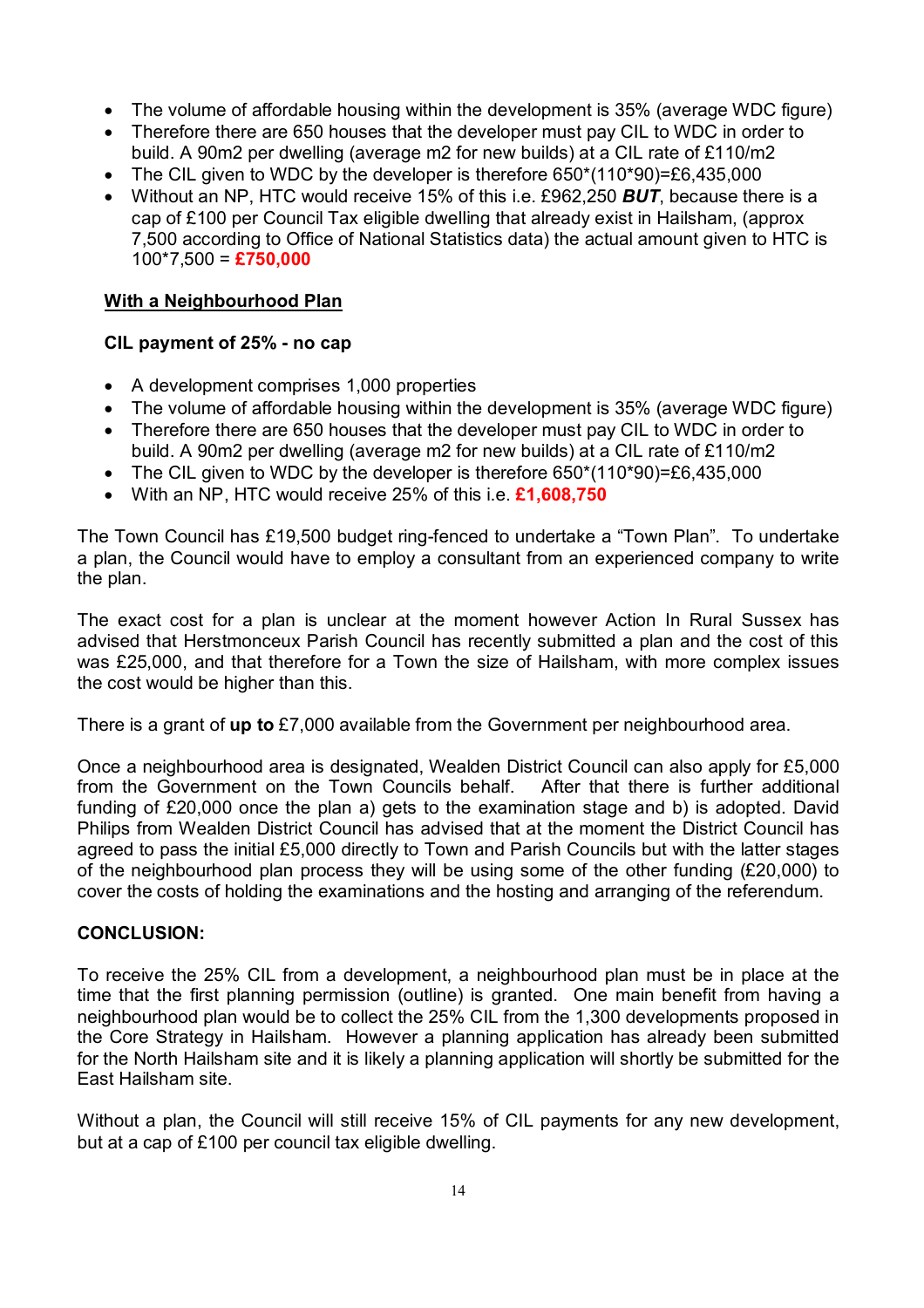- The volume of affordable housing within the development is 35% (average WDC figure)
- Therefore there are 650 houses that the developer must pay CIL to WDC in order to build. A 90m2 per dwelling (average m2 for new builds) at a CIL rate of £110/m2
- The CIL given to WDC by the developer is therefore 650\*(110\*90)=£6,435,000
- Without an NP, HTC would receive 15% of this i.e. £962,250 *BUT*, because there is a cap of £100 per Council Tax eligible dwelling that already exist in Hailsham, (approx 7,500 according to Office of National Statistics data) the actual amount given to HTC is 100\*7,500 = **£750,000**

## **With a Neighbourhood Plan**

## **CIL payment of 25% - no cap**

- A development comprises 1,000 properties
- The volume of affordable housing within the development is 35% (average WDC figure)
- Therefore there are 650 houses that the developer must pay CIL to WDC in order to build. A 90m2 per dwelling (average m2 for new builds) at a CIL rate of £110/m2
- The CIL given to WDC by the developer is therefore 650\*(110\*90)=£6,435,000
- With an NP, HTC would receive 25% of this i.e. **£1,608,750**

The Town Council has £19,500 budget ring-fenced to undertake a "Town Plan". To undertake a plan, the Council would have to employ a consultant from an experienced company to write the plan.

The exact cost for a plan is unclear at the moment however Action In Rural Sussex has advised that Herstmonceux Parish Council has recently submitted a plan and the cost of this was £25,000, and that therefore for a Town the size of Hailsham, with more complex issues the cost would be higher than this.

There is a grant of **up to** £7,000 available from the Government per neighbourhood area.

Once a neighbourhood area is designated, Wealden District Council can also apply for £5,000 from the Government on the Town Councils behalf. After that there is further additional funding of £20,000 once the plan a) gets to the examination stage and b) is adopted. David Philips from Wealden District Council has advised that at the moment the District Council has agreed to pass the initial £5,000 directly to Town and Parish Councils but with the latter stages of the neighbourhood plan process they will be using some of the other funding (£20,000) to cover the costs of holding the examinations and the hosting and arranging of the referendum.

#### **CONCLUSION:**

To receive the 25% CIL from a development, a neighbourhood plan must be in place at the time that the first planning permission (outline) is granted. One main benefit from having a neighbourhood plan would be to collect the 25% CIL from the 1,300 developments proposed in the Core Strategy in Hailsham. However a planning application has already been submitted for the North Hailsham site and it is likely a planning application will shortly be submitted for the East Hailsham site.

Without a plan, the Council will still receive 15% of CIL payments for any new development, but at a cap of £100 per council tax eligible dwelling.